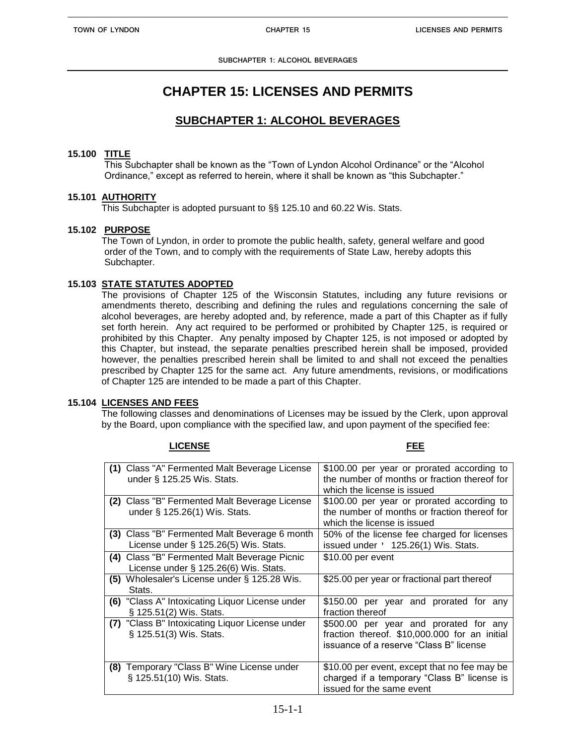# **CHAPTER 15: LICENSES AND PERMITS**

## **SUBCHAPTER 1: ALCOHOL BEVERAGES**

## **15.100 TITLE**

This Subchapter shall be known as the "Town of Lyndon Alcohol Ordinance" or the "Alcohol Ordinance," except as referred to herein, where it shall be known as "this Subchapter."

## **15.101 AUTHORITY**

This Subchapter is adopted pursuant to §§ 125.10 and 60.22 Wis. Stats.

## **15.102 PURPOSE**

The Town of Lyndon, in order to promote the public health, safety, general welfare and good order of the Town, and to comply with the requirements of State Law, hereby adopts this Subchapter.

## **15.103 STATE STATUTES ADOPTED**

The provisions of Chapter 125 of the Wisconsin Statutes, including any future revisions or amendments thereto, describing and defining the rules and regulations concerning the sale of alcohol beverages, are hereby adopted and, by reference, made a part of this Chapter as if fully set forth herein. Any act required to be performed or prohibited by Chapter 125, is required or prohibited by this Chapter. Any penalty imposed by Chapter 125, is not imposed or adopted by this Chapter, but instead, the separate penalties prescribed herein shall be imposed, provided however, the penalties prescribed herein shall be limited to and shall not exceed the penalties prescribed by Chapter 125 for the same act. Any future amendments, revisions, or modifications of Chapter 125 are intended to be made a part of this Chapter.

## **15.104 LICENSES AND FEES**

The following classes and denominations of Licenses may be issued by the Clerk, upon approval by the Board, upon compliance with the specified law, and upon payment of the specified fee:

|     | (1) Class "A" Fermented Malt Beverage License   | \$100.00 per year or prorated according to    |
|-----|-------------------------------------------------|-----------------------------------------------|
|     | under § 125.25 Wis. Stats.                      | the number of months or fraction thereof for  |
|     |                                                 | which the license is issued                   |
| (2) | Class "B" Fermented Malt Beverage License       | \$100.00 per year or prorated according to    |
|     | under § 125.26(1) Wis. Stats.                   | the number of months or fraction thereof for  |
|     |                                                 | which the license is issued                   |
|     | (3) Class "B" Fermented Malt Beverage 6 month   | 50% of the license fee charged for licenses   |
|     | License under $\S$ 125.26(5) Wis. Stats.        | issued under ' 125.26(1) Wis. Stats.          |
| (4) | Class "B" Fermented Malt Beverage Picnic        | \$10.00 per event                             |
|     | License under $\S$ 125.26(6) Wis. Stats.        |                                               |
| (5) | Wholesaler's License under § 125.28 Wis.        | \$25.00 per year or fractional part thereof   |
|     | Stats.                                          |                                               |
|     | (6) "Class A" Intoxicating Liquor License under | \$150.00 per year and prorated for any        |
|     | § 125.51(2) Wis. Stats.                         | fraction thereof                              |
|     | (7) "Class B" Intoxicating Liquor License under | \$500.00 per year and prorated for any        |
|     | § 125.51(3) Wis. Stats.                         | fraction thereof. \$10,000.000 for an initial |
|     |                                                 | issuance of a reserve "Class B" license       |
|     |                                                 |                                               |
| (8) | Temporary "Class B" Wine License under          | \$10.00 per event, except that no fee may be  |
|     | § 125.51(10) Wis. Stats.                        | charged if a temporary "Class B" license is   |
|     |                                                 | issued for the same event                     |

#### **LICENSE FEE**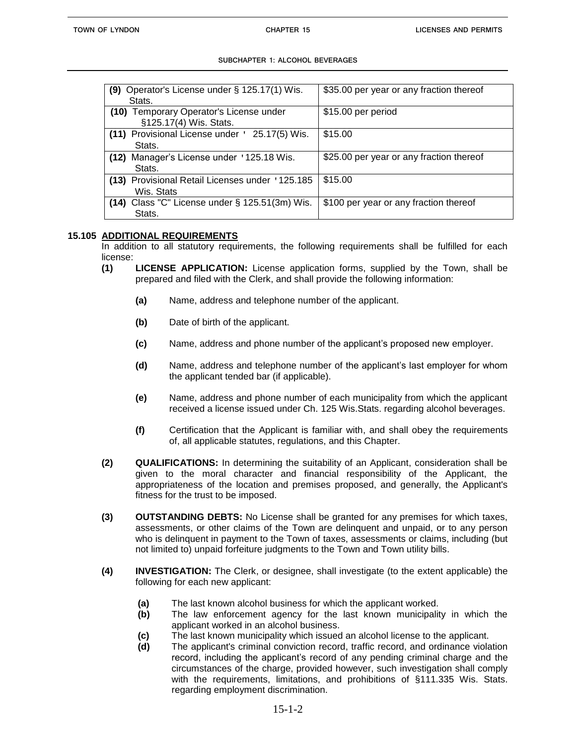| Operator's License under § 125.17(1) Wis.<br>(9)                  | \$35.00 per year or any fraction thereof |
|-------------------------------------------------------------------|------------------------------------------|
| Stats.                                                            |                                          |
| (10) Temporary Operator's License under<br>§125.17(4) Wis. Stats. | \$15.00 per period                       |
| (11) Provisional License under ' 25.17(5) Wis.<br>Stats.          | \$15.00                                  |
| (12) Manager's License under '125.18 Wis.<br>Stats.               | \$25.00 per year or any fraction thereof |
| (13) Provisional Retail Licenses under '125.185<br>Wis. Stats     | \$15.00                                  |
| (14) Class "C" License under $\S$ 125.51(3m) Wis.<br>Stats.       | \$100 per year or any fraction thereof   |

#### **15.105 ADDITIONAL REQUIREMENTS**

In addition to all statutory requirements, the following requirements shall be fulfilled for each license:

- **(1) LICENSE APPLICATION:** License application forms, supplied by the Town, shall be prepared and filed with the Clerk, and shall provide the following information:
	- **(a)** Name, address and telephone number of the applicant.
	- **(b)** Date of birth of the applicant.
	- **(c)** Name, address and phone number of the applicant's proposed new employer.
	- **(d)** Name, address and telephone number of the applicant's last employer for whom the applicant tended bar (if applicable).
	- **(e)** Name, address and phone number of each municipality from which the applicant received a license issued under Ch. 125 Wis.Stats. regarding alcohol beverages.
	- **(f)** Certification that the Applicant is familiar with, and shall obey the requirements of, all applicable statutes, regulations, and this Chapter.
- **(2) QUALIFICATIONS:** In determining the suitability of an Applicant, consideration shall be given to the moral character and financial responsibility of the Applicant, the appropriateness of the location and premises proposed, and generally, the Applicant's fitness for the trust to be imposed.
- **(3) OUTSTANDING DEBTS:** No License shall be granted for any premises for which taxes, assessments, or other claims of the Town are delinquent and unpaid, or to any person who is delinquent in payment to the Town of taxes, assessments or claims, including (but not limited to) unpaid forfeiture judgments to the Town and Town utility bills.
- **(4) INVESTIGATION:** The Clerk, or designee, shall investigate (to the extent applicable) the following for each new applicant:
	- **(a)** The last known alcohol business for which the applicant worked.
	- **(b)** The law enforcement agency for the last known municipality in which the applicant worked in an alcohol business.
	- **(c)** The last known municipality which issued an alcohol license to the applicant.
	- **(d)** The applicant's criminal conviction record, traffic record, and ordinance violation record, including the applicant's record of any pending criminal charge and the circumstances of the charge, provided however, such investigation shall comply with the requirements, limitations, and prohibitions of §111.335 Wis. Stats. regarding employment discrimination.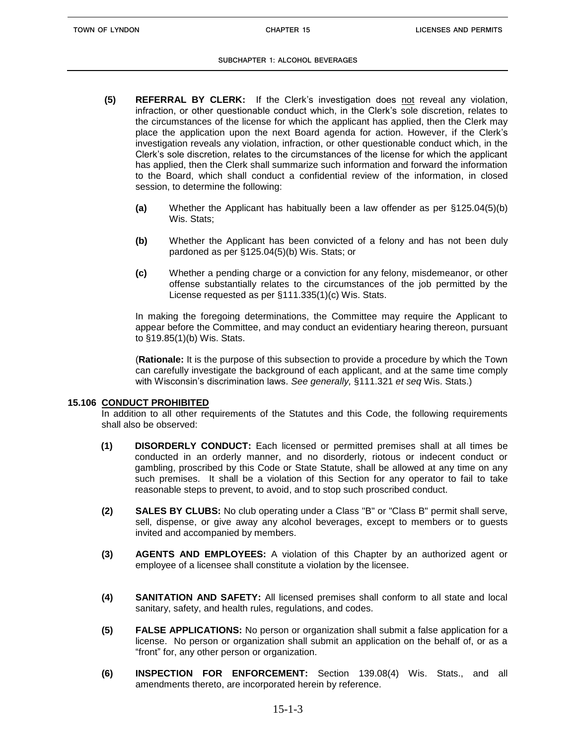- **(5) REFERRAL BY CLERK:** If the Clerk's investigation does not reveal any violation, infraction, or other questionable conduct which, in the Clerk's sole discretion, relates to the circumstances of the license for which the applicant has applied, then the Clerk may place the application upon the next Board agenda for action. However, if the Clerk's investigation reveals any violation, infraction, or other questionable conduct which, in the Clerk's sole discretion, relates to the circumstances of the license for which the applicant has applied, then the Clerk shall summarize such information and forward the information to the Board, which shall conduct a confidential review of the information, in closed session, to determine the following:
	- **(a)** Whether the Applicant has habitually been a law offender as per §125.04(5)(b) Wis. Stats:
	- **(b)** Whether the Applicant has been convicted of a felony and has not been duly pardoned as per §125.04(5)(b) Wis. Stats; or
	- **(c)** Whether a pending charge or a conviction for any felony, misdemeanor, or other offense substantially relates to the circumstances of the job permitted by the License requested as per §111.335(1)(c) Wis. Stats.

In making the foregoing determinations, the Committee may require the Applicant to appear before the Committee, and may conduct an evidentiary hearing thereon, pursuant to §19.85(1)(b) Wis. Stats.

(**Rationale:** It is the purpose of this subsection to provide a procedure by which the Town can carefully investigate the background of each applicant, and at the same time comply with Wisconsin's discrimination laws. *See generally,* §111.321 *et seq* Wis. Stats.)

#### **15.106 CONDUCT PROHIBITED**

In addition to all other requirements of the Statutes and this Code, the following requirements shall also be observed:

- **(1) DISORDERLY CONDUCT:** Each licensed or permitted premises shall at all times be conducted in an orderly manner, and no disorderly, riotous or indecent conduct or gambling, proscribed by this Code or State Statute, shall be allowed at any time on any such premises. It shall be a violation of this Section for any operator to fail to take reasonable steps to prevent, to avoid, and to stop such proscribed conduct.
- **(2) SALES BY CLUBS:** No club operating under a Class "B" or "Class B" permit shall serve, sell, dispense, or give away any alcohol beverages, except to members or to guests invited and accompanied by members.
- **(3) AGENTS AND EMPLOYEES:** A violation of this Chapter by an authorized agent or employee of a licensee shall constitute a violation by the licensee.
- **(4) SANITATION AND SAFETY:** All licensed premises shall conform to all state and local sanitary, safety, and health rules, regulations, and codes.
- **(5) FALSE APPLICATIONS:** No person or organization shall submit a false application for a license. No person or organization shall submit an application on the behalf of, or as a "front" for, any other person or organization.
- **(6) INSPECTION FOR ENFORCEMENT:** Section 139.08(4) Wis. Stats., and all amendments thereto, are incorporated herein by reference.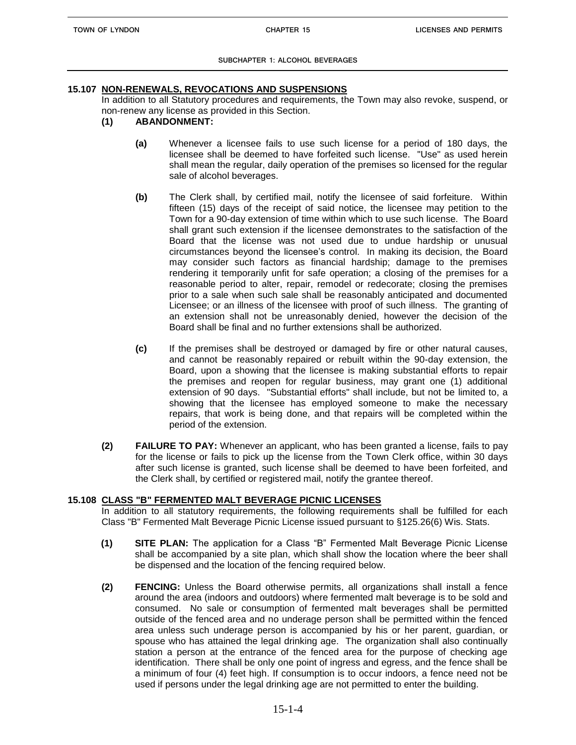#### **15.107 NON-RENEWALS, REVOCATIONS AND SUSPENSIONS**

In addition to all Statutory procedures and requirements, the Town may also revoke, suspend, or non-renew any license as provided in this Section.

- **(1) ABANDONMENT:**
	- **(a)** Whenever a licensee fails to use such license for a period of 180 days, the licensee shall be deemed to have forfeited such license. "Use" as used herein shall mean the regular, daily operation of the premises so licensed for the regular sale of alcohol beverages.
	- **(b)** The Clerk shall, by certified mail, notify the licensee of said forfeiture. Within fifteen (15) days of the receipt of said notice, the licensee may petition to the Town for a 90-day extension of time within which to use such license. The Board shall grant such extension if the licensee demonstrates to the satisfaction of the Board that the license was not used due to undue hardship or unusual circumstances beyond the licensee's control. In making its decision, the Board may consider such factors as financial hardship; damage to the premises rendering it temporarily unfit for safe operation; a closing of the premises for a reasonable period to alter, repair, remodel or redecorate; closing the premises prior to a sale when such sale shall be reasonably anticipated and documented Licensee; or an illness of the licensee with proof of such illness. The granting of an extension shall not be unreasonably denied, however the decision of the Board shall be final and no further extensions shall be authorized.
	- **(c)** If the premises shall be destroyed or damaged by fire or other natural causes, and cannot be reasonably repaired or rebuilt within the 90-day extension, the Board, upon a showing that the licensee is making substantial efforts to repair the premises and reopen for regular business, may grant one (1) additional extension of 90 days. "Substantial efforts" shall include, but not be limited to, a showing that the licensee has employed someone to make the necessary repairs, that work is being done, and that repairs will be completed within the period of the extension.
- **(2) FAILURE TO PAY:** Whenever an applicant, who has been granted a license, fails to pay for the license or fails to pick up the license from the Town Clerk office, within 30 days after such license is granted, such license shall be deemed to have been forfeited, and the Clerk shall, by certified or registered mail, notify the grantee thereof.

## **15.108 CLASS "B" FERMENTED MALT BEVERAGE PICNIC LICENSES**

In addition to all statutory requirements, the following requirements shall be fulfilled for each Class "B" Fermented Malt Beverage Picnic License issued pursuant to §125.26(6) Wis. Stats.

- **(1) SITE PLAN:** The application for a Class "B" Fermented Malt Beverage Picnic License shall be accompanied by a site plan, which shall show the location where the beer shall be dispensed and the location of the fencing required below.
- **(2) FENCING:** Unless the Board otherwise permits, all organizations shall install a fence around the area (indoors and outdoors) where fermented malt beverage is to be sold and consumed. No sale or consumption of fermented malt beverages shall be permitted outside of the fenced area and no underage person shall be permitted within the fenced area unless such underage person is accompanied by his or her parent, guardian, or spouse who has attained the legal drinking age. The organization shall also continually station a person at the entrance of the fenced area for the purpose of checking age identification. There shall be only one point of ingress and egress, and the fence shall be a minimum of four (4) feet high. If consumption is to occur indoors, a fence need not be used if persons under the legal drinking age are not permitted to enter the building.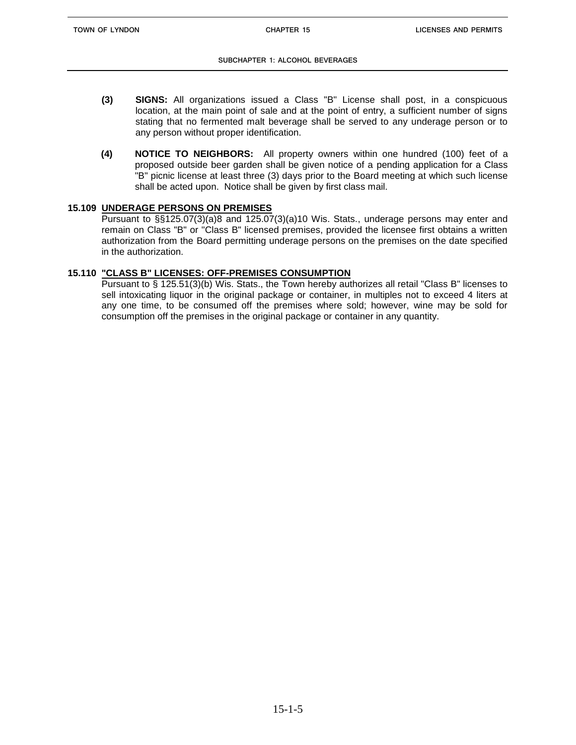- **(3) SIGNS:** All organizations issued a Class "B" License shall post, in a conspicuous location, at the main point of sale and at the point of entry, a sufficient number of signs stating that no fermented malt beverage shall be served to any underage person or to any person without proper identification.
- **(4) NOTICE TO NEIGHBORS:** All property owners within one hundred (100) feet of a proposed outside beer garden shall be given notice of a pending application for a Class "B" picnic license at least three (3) days prior to the Board meeting at which such license shall be acted upon. Notice shall be given by first class mail.

## **15.109 UNDERAGE PERSONS ON PREMISES**

Pursuant to §§125.07(3)(a)8 and 125.07(3)(a)10 Wis. Stats., underage persons may enter and remain on Class "B" or "Class B" licensed premises, provided the licensee first obtains a written authorization from the Board permitting underage persons on the premises on the date specified in the authorization.

## **15.110 "CLASS B" LICENSES: OFF-PREMISES CONSUMPTION**

Pursuant to § 125.51(3)(b) Wis. Stats., the Town hereby authorizes all retail "Class B" licenses to sell intoxicating liquor in the original package or container, in multiples not to exceed 4 liters at any one time, to be consumed off the premises where sold; however, wine may be sold for consumption off the premises in the original package or container in any quantity.